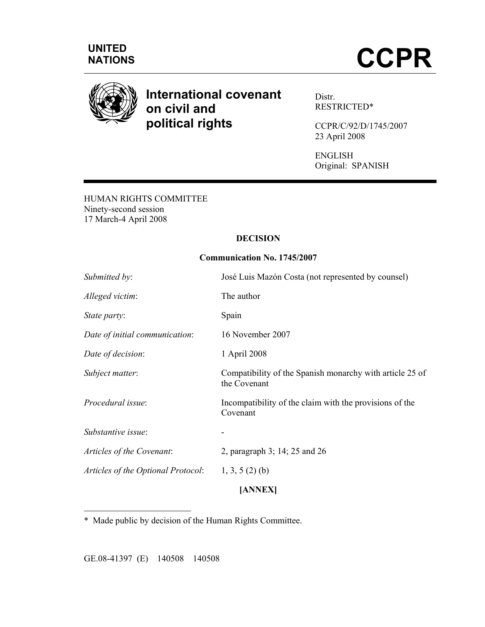



# **International covenant on civil and political rights**

Distr. RESTRICTED\*

CCPR/C/92/D/1745/2007 23 April 2008

ENGLISH Original: SPANISH

HUMAN RIGHTS COMMITTEE Ninety-second session 17 March-4 April 2008

## **DECISION**

## **Communication No. 1745/2007**

| Submitted by:                      | José Luis Mazón Costa (not represented by counsel)                       |
|------------------------------------|--------------------------------------------------------------------------|
| Alleged victim:                    | The author                                                               |
| State party:                       | Spain                                                                    |
| Date of initial communication:     | 16 November 2007                                                         |
| Date of decision:                  | 1 April 2008                                                             |
| Subject matter:                    | Compatibility of the Spanish monarchy with article 25 of<br>the Covenant |
| Procedural issue:                  | Incompatibility of the claim with the provisions of the<br>Covenant      |
| Substantive issue:                 |                                                                          |
| Articles of the Covenant:          | 2, paragraph 3; 14; 25 and 26                                            |
| Articles of the Optional Protocol: | $1, 3, 5$ (2) (b)                                                        |
|                                    | [ANNEX]                                                                  |

\* Made public by decision of the Human Rights Committee.

GE.08-41397 (E) 140508 140508

 $\overline{a}$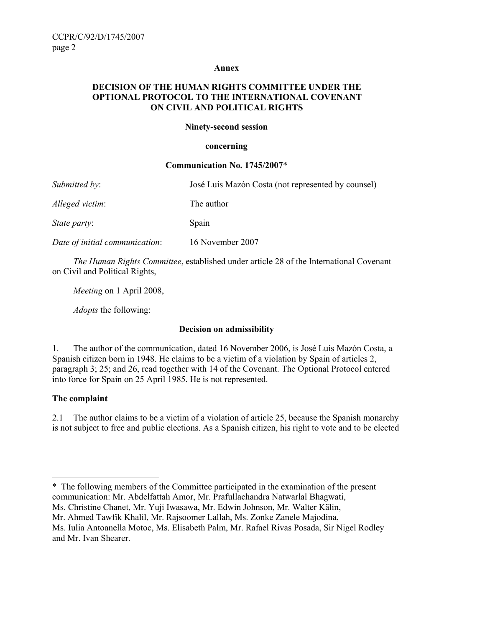#### **Annex**

## **DECISION OF THE HUMAN RIGHTS COMMITTEE UNDER THE OPTIONAL PROTOCOL TO THE INTERNATIONAL COVENANT ON CIVIL AND POLITICAL RIGHTS**

#### **Ninety-second session**

#### **concerning**

#### **Communication No. 1745/2007**\*

| José Luis Mazón Costa (not represented by counsel) |
|----------------------------------------------------|
| The author                                         |
| Spain                                              |
| 16 November 2007                                   |
|                                                    |

 *The Human Rights Committee*, established under article 28 of the International Covenant on Civil and Political Rights,

 *Meeting* on 1 April 2008,

*Adopts* the following:

## **Decision on admissibility**

1. The author of the communication, dated 16 November 2006, is José Luis Mazón Costa, a Spanish citizen born in 1948. He claims to be a victim of a violation by Spain of articles 2, paragraph 3; 25; and 26, read together with 14 of the Covenant. The Optional Protocol entered into force for Spain on 25 April 1985. He is not represented.

# **The complaint**

 $\overline{a}$ 

2.1 The author claims to be a victim of a violation of article 25, because the Spanish monarchy is not subject to free and public elections. As a Spanish citizen, his right to vote and to be elected

Ms. Christine Chanet, Mr. Yuji Iwasawa, Mr. Edwin Johnson, Mr. Walter Kälin,

<sup>\*</sup> The following members of the Committee participated in the examination of the present communication: Mr. Abdelfattah Amor, Mr. Prafullachandra Natwarlal Bhagwati,

Mr. Ahmed Tawfik Khalil, Mr. Rajsoomer Lallah, Ms. Zonke Zanele Majodina,

Ms. Iulia Antoanella Motoc, Ms. Elisabeth Palm, Mr. Rafael Rivas Posada, Sir Nigel Rodley and Mr. Ivan Shearer.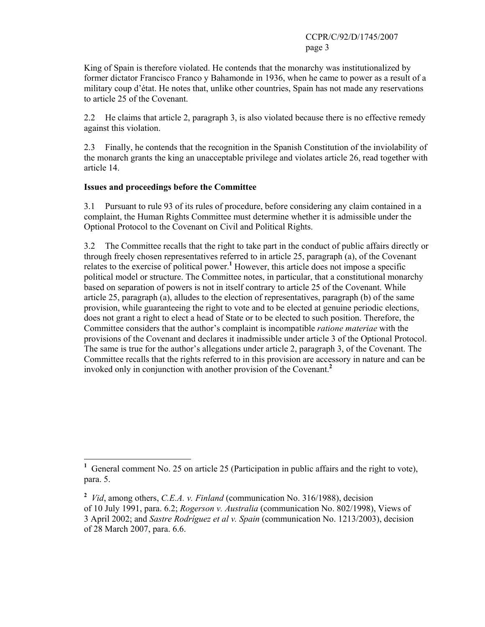King of Spain is therefore violated. He contends that the monarchy was institutionalized by former dictator Francisco Franco y Bahamonde in 1936, when he came to power as a result of a military coup d'état. He notes that, unlike other countries, Spain has not made any reservations to article 25 of the Covenant.

2.2 He claims that article 2, paragraph 3, is also violated because there is no effective remedy against this violation.

2.3 Finally, he contends that the recognition in the Spanish Constitution of the inviolability of the monarch grants the king an unacceptable privilege and violates article 26, read together with article 14.

# **Issues and proceedings before the Committee**

3.1 Pursuant to rule 93 of its rules of procedure, before considering any claim contained in a complaint, the Human Rights Committee must determine whether it is admissible under the Optional Protocol to the Covenant on Civil and Political Rights.

3.2 The Committee recalls that the right to take part in the conduct of public affairs directly or through freely chosen representatives referred to in article 25, paragraph (a), of the Covenant relates to the exercise of political power.**<sup>1</sup>** However, this article does not impose a specific political model or structure. The Committee notes, in particular, that a constitutional monarchy based on separation of powers is not in itself contrary to article 25 of the Covenant. While article 25, paragraph (a), alludes to the election of representatives, paragraph (b) of the same provision, while guaranteeing the right to vote and to be elected at genuine periodic elections, does not grant a right to elect a head of State or to be elected to such position. Therefore, the Committee considers that the author's complaint is incompatible *ratione materiae* with the provisions of the Covenant and declares it inadmissible under article 3 of the Optional Protocol. The same is true for the author's allegations under article 2, paragraph 3, of the Covenant. The Committee recalls that the rights referred to in this provision are accessory in nature and can be invoked only in conjunction with another provision of the Covenant.**<sup>2</sup>**

<sup>&</sup>lt;sup>1</sup> General comment No. 25 on article 25 (Participation in public affairs and the right to vote), para. 5.

**<sup>2</sup>** *Vid*, among others, *C.E.A. v. Finland* (communication No. 316/1988), decision

of 10 July 1991, para. 6.2; *Rogerson v. Australia* (communication No. 802/1998), Views of 3 April 2002; and *Sastre Rodríguez et al v. Spain* (communication No. 1213/2003), decision of 28 March 2007, para. 6.6.